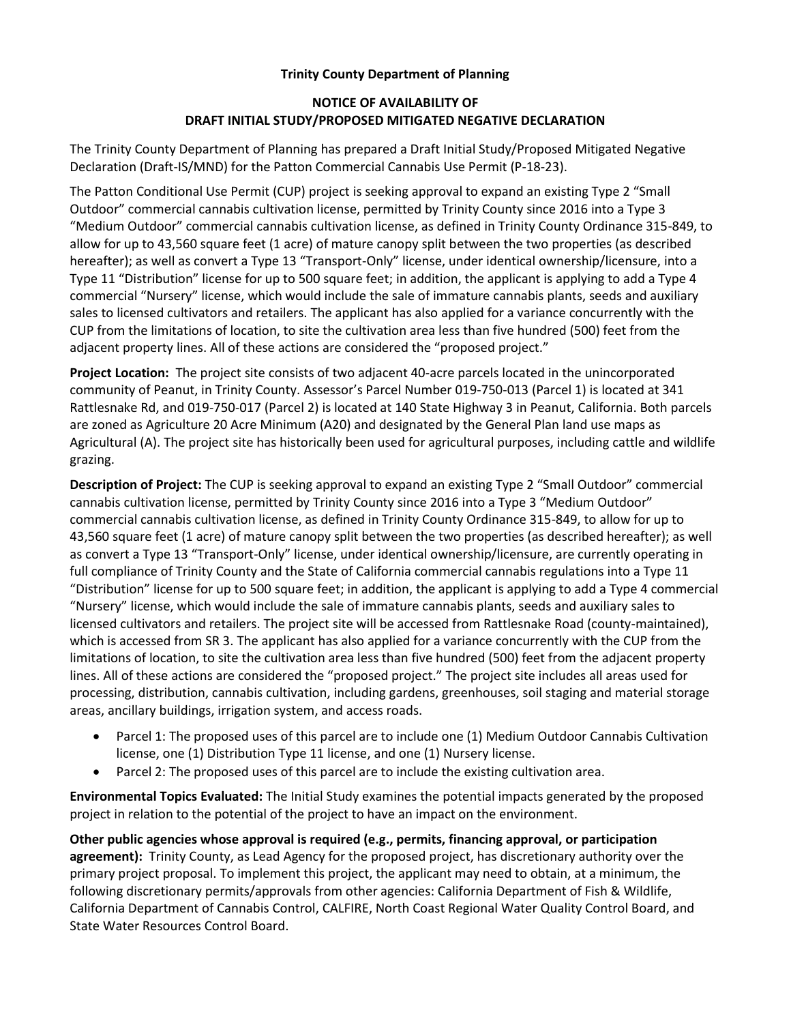## **Trinity County Department of Planning**

## **NOTICE OF AVAILABILITY OF DRAFT INITIAL STUDY/PROPOSED MITIGATED NEGATIVE DECLARATION**

The Trinity County Department of Planning has prepared a Draft Initial Study/Proposed Mitigated Negative Declaration (Draft-IS/MND) for the Patton Commercial Cannabis Use Permit (P-18-23).

The Patton Conditional Use Permit (CUP) project is seeking approval to expand an existing Type 2 "Small Outdoor" commercial cannabis cultivation license, permitted by Trinity County since 2016 into a Type 3 "Medium Outdoor" commercial cannabis cultivation license, as defined in Trinity County Ordinance 315-849, to allow for up to 43,560 square feet (1 acre) of mature canopy split between the two properties (as described hereafter); as well as convert a Type 13 "Transport-Only" license, under identical ownership/licensure, into a Type 11 "Distribution" license for up to 500 square feet; in addition, the applicant is applying to add a Type 4 commercial "Nursery" license, which would include the sale of immature cannabis plants, seeds and auxiliary sales to licensed cultivators and retailers. The applicant has also applied for a variance concurrently with the CUP from the limitations of location, to site the cultivation area less than five hundred (500) feet from the adjacent property lines. All of these actions are considered the "proposed project."

**Project Location:** The project site consists of two adjacent 40-acre parcels located in the unincorporated community of Peanut, in Trinity County. Assessor's Parcel Number 019-750-013 (Parcel 1) is located at 341 Rattlesnake Rd, and 019-750-017 (Parcel 2) is located at 140 State Highway 3 in Peanut, California. Both parcels are zoned as Agriculture 20 Acre Minimum (A20) and designated by the General Plan land use maps as Agricultural (A). The project site has historically been used for agricultural purposes, including cattle and wildlife grazing.

**Description of Project:** The CUP is seeking approval to expand an existing Type 2 "Small Outdoor" commercial cannabis cultivation license, permitted by Trinity County since 2016 into a Type 3 "Medium Outdoor" commercial cannabis cultivation license, as defined in Trinity County Ordinance 315-849, to allow for up to 43,560 square feet (1 acre) of mature canopy split between the two properties (as described hereafter); as well as convert a Type 13 "Transport-Only" license, under identical ownership/licensure, are currently operating in full compliance of Trinity County and the State of California commercial cannabis regulations into a Type 11 "Distribution" license for up to 500 square feet; in addition, the applicant is applying to add a Type 4 commercial "Nursery" license, which would include the sale of immature cannabis plants, seeds and auxiliary sales to licensed cultivators and retailers. The project site will be accessed from Rattlesnake Road (county-maintained), which is accessed from SR 3. The applicant has also applied for a variance concurrently with the CUP from the limitations of location, to site the cultivation area less than five hundred (500) feet from the adjacent property lines. All of these actions are considered the "proposed project." The project site includes all areas used for processing, distribution, cannabis cultivation, including gardens, greenhouses, soil staging and material storage areas, ancillary buildings, irrigation system, and access roads.

- Parcel 1: The proposed uses of this parcel are to include one (1) Medium Outdoor Cannabis Cultivation license, one (1) Distribution Type 11 license, and one (1) Nursery license.
- Parcel 2: The proposed uses of this parcel are to include the existing cultivation area.

**Environmental Topics Evaluated:** The Initial Study examines the potential impacts generated by the proposed project in relation to the potential of the project to have an impact on the environment.

**Other public agencies whose approval is required (e.g., permits, financing approval, or participation agreement):** Trinity County, as Lead Agency for the proposed project, has discretionary authority over the primary project proposal. To implement this project, the applicant may need to obtain, at a minimum, the following discretionary permits/approvals from other agencies: California Department of Fish & Wildlife, California Department of Cannabis Control, CALFIRE, North Coast Regional Water Quality Control Board, and State Water Resources Control Board.